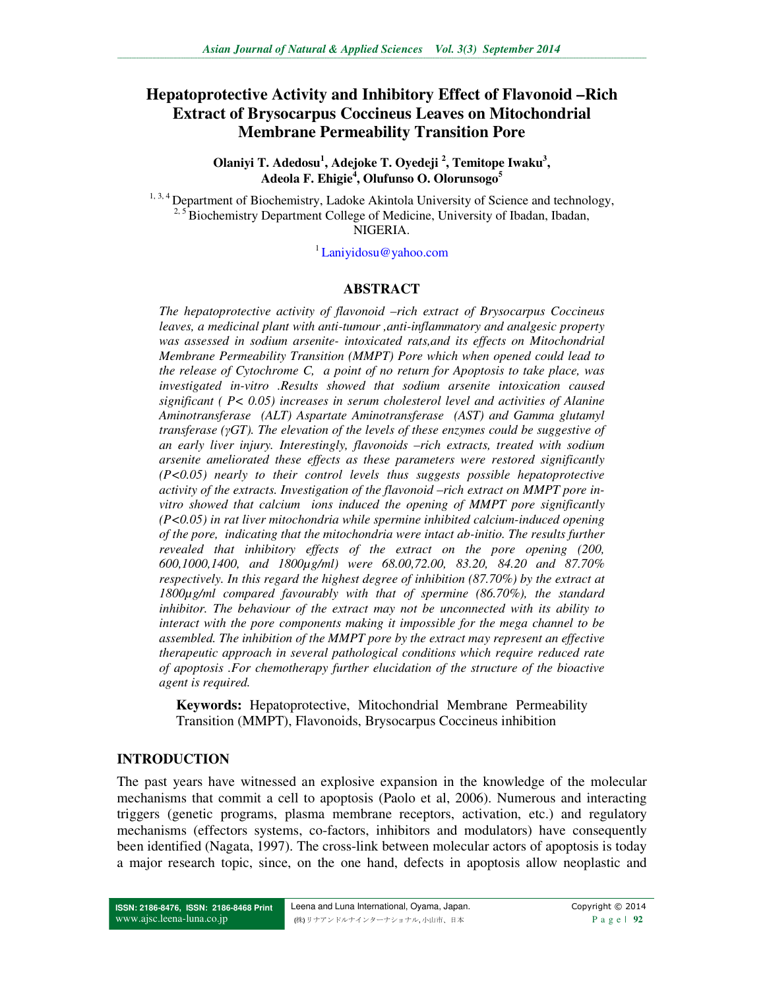# **Hepatoprotective Activity and Inhibitory Effect of Flavonoid –Rich Extract of Brysocarpus Coccineus Leaves on Mitochondrial Membrane Permeability Transition Pore**

**Olaniyi T. Adedosu<sup>1</sup> , Adejoke T. Oyedeji <sup>2</sup> , Temitope Iwaku<sup>3</sup> , Adeola F. Ehigie<sup>4</sup> , Olufunso O. Olorunsogo<sup>5</sup>** 

<sup>1, 3, 4</sup> Department of Biochemistry, Ladoke Akintola University of Science and technology, <sup>2, 5</sup> Biochemistry Department College of Medicine, University of Ibadan, Ibadan, NIGERIA.

<sup>1</sup>Laniyidosu@yahoo.com

#### **ABSTRACT**

*The hepatoprotective activity of flavonoid –rich extract of Brysocarpus Coccineus leaves, a medicinal plant with anti-tumour ,anti-inflammatory and analgesic property was assessed in sodium arsenite- intoxicated rats,and its effects on Mitochondrial Membrane Permeability Transition (MMPT) Pore which when opened could lead to the release of Cytochrome C, a point of no return for Apoptosis to take place, was investigated in-vitro .Results showed that sodium arsenite intoxication caused significant ( P< 0.05) increases in serum cholesterol level and activities of Alanine Aminotransferase (ALT) Aspartate Aminotransferase (AST) and Gamma glutamyl transferase (γGT). The elevation of the levels of these enzymes could be suggestive of an early liver injury. Interestingly, flavonoids –rich extracts, treated with sodium arsenite ameliorated these effects as these parameters were restored significantly (P<0.05) nearly to their control levels thus suggests possible hepatoprotective*  activity of the extracts. Investigation of the flavonoid –rich extract on MMPT pore in*vitro showed that calcium ions induced the opening of MMPT pore significantly (P<0.05) in rat liver mitochondria while spermine inhibited calcium-induced opening of the pore, indicating that the mitochondria were intact ab-initio. The results further revealed that inhibitory effects of the extract on the pore opening (200, 600,1000,1400, and 1800µg/ml) were 68.00,72.00, 83.20, 84.20 and 87.70% respectively. In this regard the highest degree of inhibition (87.70%) by the extract at 1800µg/ml compared favourably with that of spermine (86.70%), the standard inhibitor. The behaviour of the extract may not be unconnected with its ability to interact with the pore components making it impossible for the mega channel to be assembled. The inhibition of the MMPT pore by the extract may represent an effective therapeutic approach in several pathological conditions which require reduced rate of apoptosis .For chemotherapy further elucidation of the structure of the bioactive agent is required.* 

**Keywords:** Hepatoprotective, Mitochondrial Membrane Permeability Transition (MMPT), Flavonoids, Brysocarpus Coccineus inhibition

#### **INTRODUCTION**

The past years have witnessed an explosive expansion in the knowledge of the molecular mechanisms that commit a cell to apoptosis (Paolo et al, 2006). Numerous and interacting triggers (genetic programs, plasma membrane receptors, activation, etc.) and regulatory mechanisms (effectors systems, co-factors, inhibitors and modulators) have consequently been identified (Nagata, 1997). The cross-link between molecular actors of apoptosis is today a major research topic, since, on the one hand, defects in apoptosis allow neoplastic and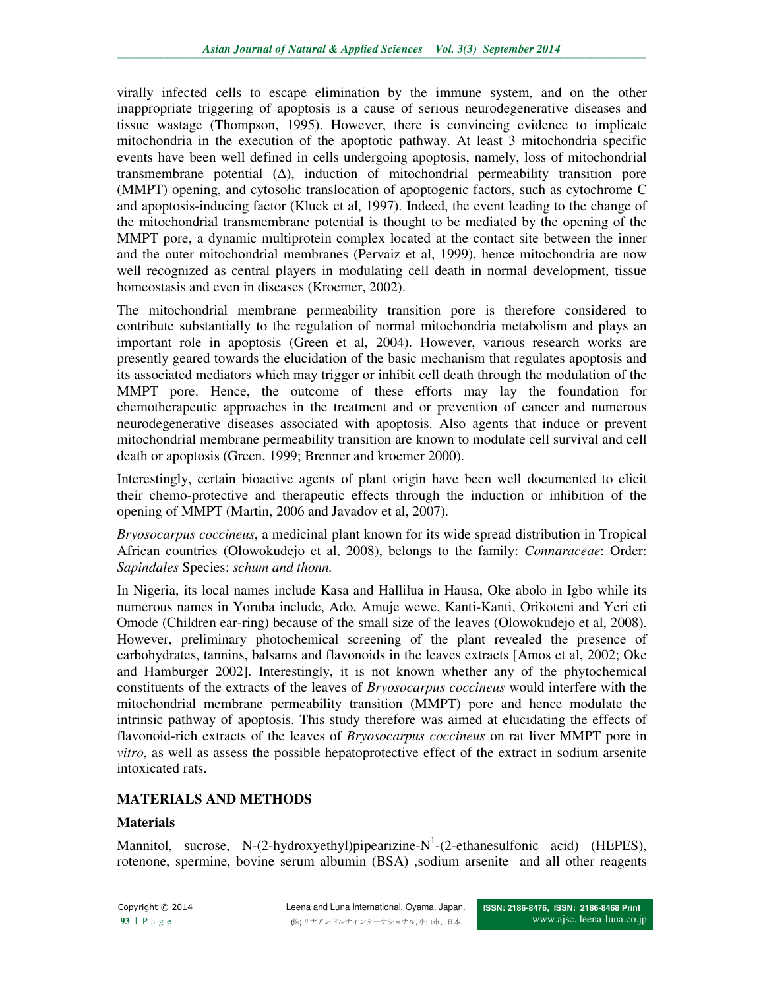virally infected cells to escape elimination by the immune system, and on the other inappropriate triggering of apoptosis is a cause of serious neurodegenerative diseases and tissue wastage (Thompson, 1995). However, there is convincing evidence to implicate mitochondria in the execution of the apoptotic pathway. At least 3 mitochondria specific events have been well defined in cells undergoing apoptosis, namely, loss of mitochondrial transmembrane potential  $(\Delta)$ , induction of mitochondrial permeability transition pore (MMPT) opening, and cytosolic translocation of apoptogenic factors, such as cytochrome C and apoptosis-inducing factor (Kluck et al, 1997). Indeed, the event leading to the change of the mitochondrial transmembrane potential is thought to be mediated by the opening of the MMPT pore, a dynamic multiprotein complex located at the contact site between the inner and the outer mitochondrial membranes (Pervaiz et al, 1999), hence mitochondria are now well recognized as central players in modulating cell death in normal development, tissue homeostasis and even in diseases (Kroemer, 2002).

The mitochondrial membrane permeability transition pore is therefore considered to contribute substantially to the regulation of normal mitochondria metabolism and plays an important role in apoptosis (Green et al, 2004). However, various research works are presently geared towards the elucidation of the basic mechanism that regulates apoptosis and its associated mediators which may trigger or inhibit cell death through the modulation of the MMPT pore. Hence, the outcome of these efforts may lay the foundation for chemotherapeutic approaches in the treatment and or prevention of cancer and numerous neurodegenerative diseases associated with apoptosis. Also agents that induce or prevent mitochondrial membrane permeability transition are known to modulate cell survival and cell death or apoptosis (Green, 1999; Brenner and kroemer 2000).

Interestingly, certain bioactive agents of plant origin have been well documented to elicit their chemo-protective and therapeutic effects through the induction or inhibition of the opening of MMPT (Martin, 2006 and Javadov et al, 2007).

*Bryosocarpus coccineus*, a medicinal plant known for its wide spread distribution in Tropical African countries (Olowokudejo et al, 2008), belongs to the family: *Connaraceae*: Order: *Sapindales* Species: *schum and thonn.* 

In Nigeria, its local names include Kasa and Hallilua in Hausa, Oke abolo in Igbo while its numerous names in Yoruba include, Ado, Amuje wewe, Kanti-Kanti, Orikoteni and Yeri eti Omode (Children ear-ring) because of the small size of the leaves (Olowokudejo et al, 2008). However, preliminary photochemical screening of the plant revealed the presence of carbohydrates, tannins, balsams and flavonoids in the leaves extracts [Amos et al, 2002; Oke and Hamburger 2002]. Interestingly, it is not known whether any of the phytochemical constituents of the extracts of the leaves of *Bryosocarpus coccineus* would interfere with the mitochondrial membrane permeability transition (MMPT) pore and hence modulate the intrinsic pathway of apoptosis. This study therefore was aimed at elucidating the effects of flavonoid-rich extracts of the leaves of *Bryosocarpus coccineus* on rat liver MMPT pore in *vitro*, as well as assess the possible hepatoprotective effect of the extract in sodium arsenite intoxicated rats.

## **MATERIALS AND METHODS**

## **Materials**

Mannitol, sucrose, N- $(2$ -hydroxyethyl)pipearizine-N<sup>1</sup>- $(2$ -ethanesulfonic acid) (HEPES), rotenone, spermine, bovine serum albumin (BSA) ,sodium arsenite and all other reagents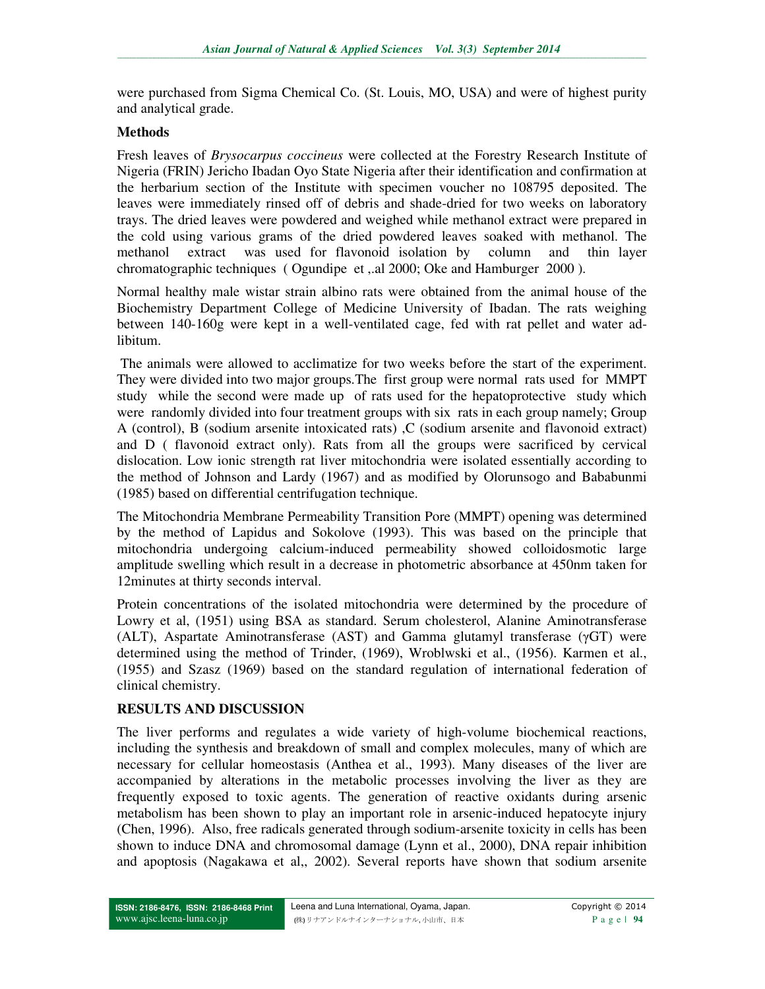were purchased from Sigma Chemical Co. (St. Louis, MO, USA) and were of highest purity and analytical grade.

### **Methods**

Fresh leaves of *Brysocarpus coccineus* were collected at the Forestry Research Institute of Nigeria (FRIN) Jericho Ibadan Oyo State Nigeria after their identification and confirmation at the herbarium section of the Institute with specimen voucher no 108795 deposited. The leaves were immediately rinsed off of debris and shade-dried for two weeks on laboratory trays. The dried leaves were powdered and weighed while methanol extract were prepared in the cold using various grams of the dried powdered leaves soaked with methanol. The methanol extract was used for flavonoid isolation by column and thin layer chromatographic techniques ( Ogundipe et ,.al 2000; Oke and Hamburger 2000 ).

Normal healthy male wistar strain albino rats were obtained from the animal house of the Biochemistry Department College of Medicine University of Ibadan. The rats weighing between 140-160g were kept in a well-ventilated cage, fed with rat pellet and water adlibitum.

 The animals were allowed to acclimatize for two weeks before the start of the experiment. They were divided into two major groups.The first group were normal rats used for MMPT study while the second were made up of rats used for the hepatoprotective study which were randomly divided into four treatment groups with six rats in each group namely; Group A (control), B (sodium arsenite intoxicated rats) ,C (sodium arsenite and flavonoid extract) and D ( flavonoid extract only). Rats from all the groups were sacrificed by cervical dislocation. Low ionic strength rat liver mitochondria were isolated essentially according to the method of Johnson and Lardy (1967) and as modified by Olorunsogo and Bababunmi (1985) based on differential centrifugation technique.

The Mitochondria Membrane Permeability Transition Pore (MMPT) opening was determined by the method of Lapidus and Sokolove (1993). This was based on the principle that mitochondria undergoing calcium-induced permeability showed colloidosmotic large amplitude swelling which result in a decrease in photometric absorbance at 450nm taken for 12minutes at thirty seconds interval.

Protein concentrations of the isolated mitochondria were determined by the procedure of Lowry et al, (1951) using BSA as standard. Serum cholesterol, Alanine Aminotransferase (ALT), Aspartate Aminotransferase (AST) and Gamma glutamyl transferase (γGT) were determined using the method of Trinder, (1969), Wroblwski et al., (1956). Karmen et al., (1955) and Szasz (1969) based on the standard regulation of international federation of clinical chemistry.

## **RESULTS AND DISCUSSION**

The liver performs and regulates a wide variety of high-volume biochemical reactions, including the synthesis and breakdown of small and complex molecules, many of which are necessary for cellular homeostasis (Anthea et al., 1993). Many diseases of the liver are accompanied by alterations in the metabolic processes involving the liver as they are frequently exposed to toxic agents. The generation of reactive oxidants during arsenic metabolism has been shown to play an important role in arsenic-induced hepatocyte injury (Chen, 1996). Also, free radicals generated through sodium-arsenite toxicity in cells has been shown to induce DNA and chromosomal damage (Lynn et al., 2000), DNA repair inhibition and apoptosis (Nagakawa et al,, 2002). Several reports have shown that sodium arsenite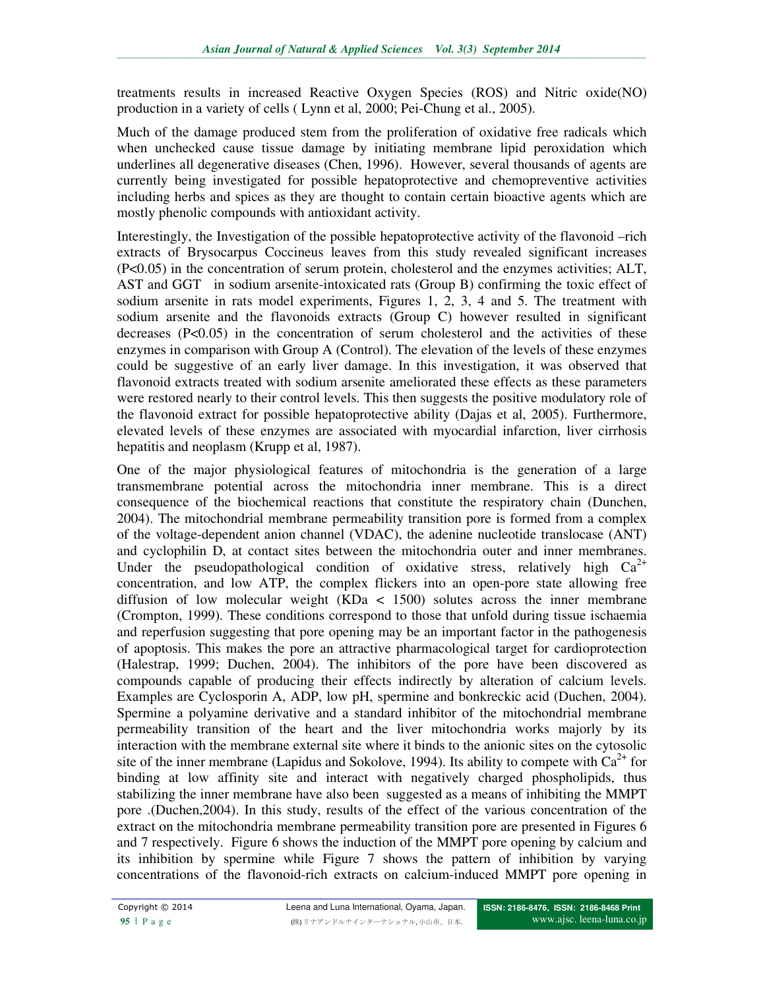treatments results in increased Reactive Oxygen Species (ROS) and Nitric oxide(NO) production in a variety of cells ( Lynn et al, 2000; Pei-Chung et al., 2005).

Much of the damage produced stem from the proliferation of oxidative free radicals which when unchecked cause tissue damage by initiating membrane lipid peroxidation which underlines all degenerative diseases (Chen, 1996). However, several thousands of agents are currently being investigated for possible hepatoprotective and chemopreventive activities including herbs and spices as they are thought to contain certain bioactive agents which are mostly phenolic compounds with antioxidant activity.

Interestingly, the Investigation of the possible hepatoprotective activity of the flavonoid –rich extracts of Brysocarpus Coccineus leaves from this study revealed significant increases (P<0.05) in the concentration of serum protein, cholesterol and the enzymes activities; ALT, AST and GGT in sodium arsenite-intoxicated rats (Group B) confirming the toxic effect of sodium arsenite in rats model experiments, Figures 1, 2, 3, 4 and 5. The treatment with sodium arsenite and the flavonoids extracts (Group C) however resulted in significant decreases  $(P<0.05)$  in the concentration of serum cholesterol and the activities of these enzymes in comparison with Group A (Control). The elevation of the levels of these enzymes could be suggestive of an early liver damage. In this investigation, it was observed that flavonoid extracts treated with sodium arsenite ameliorated these effects as these parameters were restored nearly to their control levels. This then suggests the positive modulatory role of the flavonoid extract for possible hepatoprotective ability (Dajas et al, 2005). Furthermore, elevated levels of these enzymes are associated with myocardial infarction, liver cirrhosis hepatitis and neoplasm (Krupp et al, 1987).

One of the major physiological features of mitochondria is the generation of a large transmembrane potential across the mitochondria inner membrane. This is a direct consequence of the biochemical reactions that constitute the respiratory chain (Dunchen, 2004). The mitochondrial membrane permeability transition pore is formed from a complex of the voltage-dependent anion channel (VDAC), the adenine nucleotide translocase (ANT) and cyclophilin D, at contact sites between the mitochondria outer and inner membranes. Under the pseudopathological condition of oxidative stress, relatively high  $Ca^{2+}$ concentration, and low ATP, the complex flickers into an open-pore state allowing free diffusion of low molecular weight (KDa < 1500) solutes across the inner membrane (Crompton, 1999). These conditions correspond to those that unfold during tissue ischaemia and reperfusion suggesting that pore opening may be an important factor in the pathogenesis of apoptosis. This makes the pore an attractive pharmacological target for cardioprotection (Halestrap, 1999; Duchen, 2004). The inhibitors of the pore have been discovered as compounds capable of producing their effects indirectly by alteration of calcium levels. Examples are Cyclosporin A, ADP, low pH, spermine and bonkreckic acid (Duchen, 2004). Spermine a polyamine derivative and a standard inhibitor of the mitochondrial membrane permeability transition of the heart and the liver mitochondria works majorly by its interaction with the membrane external site where it binds to the anionic sites on the cytosolic site of the inner membrane (Lapidus and Sokolove, 1994). Its ability to compete with  $Ca^{2+}$  for binding at low affinity site and interact with negatively charged phospholipids, thus stabilizing the inner membrane have also been suggested as a means of inhibiting the MMPT pore .(Duchen,2004). In this study, results of the effect of the various concentration of the extract on the mitochondria membrane permeability transition pore are presented in Figures 6 and 7 respectively.Figure 6 shows the induction of the MMPT pore opening by calcium and its inhibition by spermine while Figure 7 shows the pattern of inhibition by varying concentrations of the flavonoid-rich extracts on calcium-induced MMPT pore opening in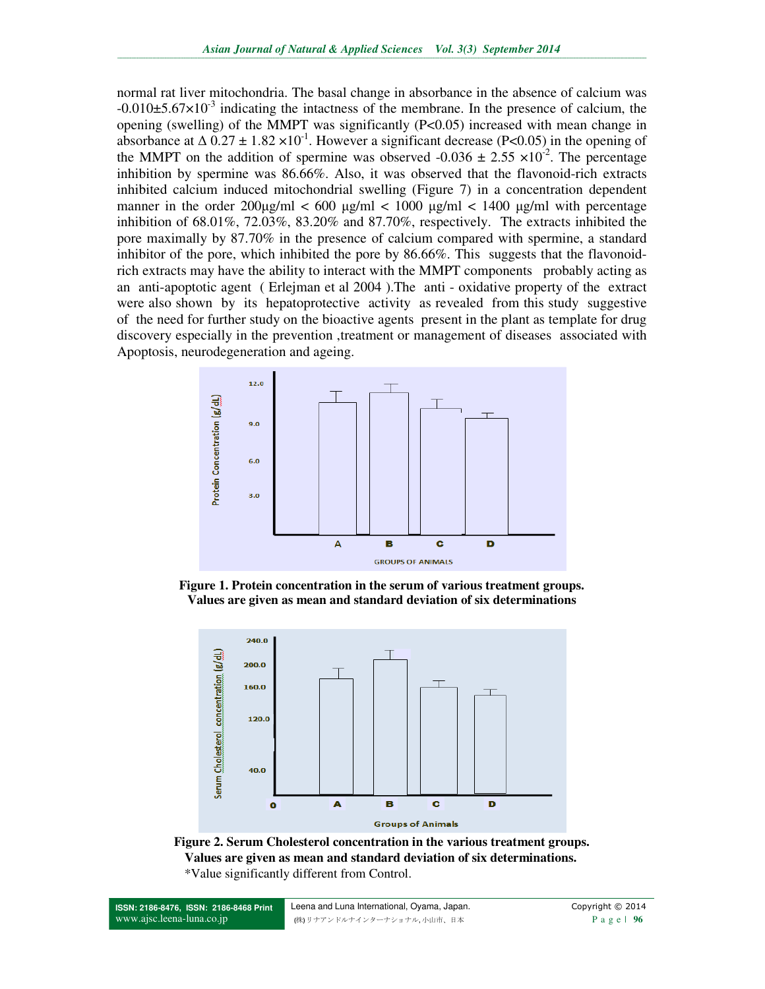normal rat liver mitochondria. The basal change in absorbance in the absence of calcium was  $-0.010\pm5.67\times10^{-3}$  indicating the intactness of the membrane. In the presence of calcium, the opening (swelling) of the MMPT was significantly (P<0.05) increased with mean change in absorbance at  $\Delta 0.27 \pm 1.82 \times 10^{-1}$ . However a significant decrease (P<0.05) in the opening of the MMPT on the addition of spermine was observed -0.036  $\pm$  2.55  $\times$ 10<sup>-2</sup>. The percentage inhibition by spermine was 86.66%. Also, it was observed that the flavonoid-rich extracts inhibited calcium induced mitochondrial swelling (Figure 7) in a concentration dependent manner in the order  $200\mu\text{g/ml} < 600 \mu\text{g/ml} < 1000 \mu\text{g/ml} < 1400 \mu\text{g/ml}$  with percentage inhibition of 68.01%, 72.03%, 83.20% and 87.70%, respectively. The extracts inhibited the pore maximally by 87.70% in the presence of calcium compared with spermine, a standard inhibitor of the pore, which inhibited the pore by 86.66%. This suggests that the flavonoidrich extracts may have the ability to interact with the MMPT components probably acting as an anti-apoptotic agent ( Erlejman et al 2004 ).The anti - oxidative property of the extract were also shown by its hepatoprotective activity as revealed from this study suggestive of the need for further study on the bioactive agents present in the plant as template for drug discovery especially in the prevention ,treatment or management of diseases associated with Apoptosis, neurodegeneration and ageing.



**Figure 1. Protein concentration in the serum of various treatment groups. Values are given as mean and standard deviation of six determinations** 



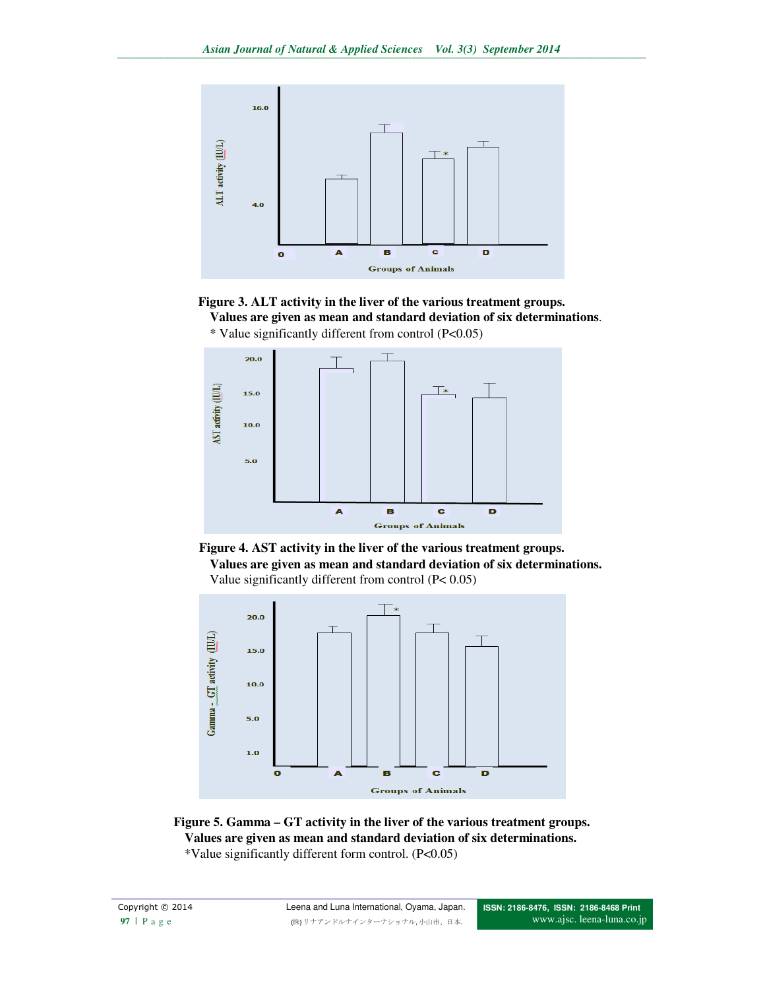

**Figure 3. ALT activity in the liver of the various treatment groups.** 





\* Value significantly different from control (P<0.05)



**Values are given as mean and standard deviation of six determinations.**  Value significantly different from control (P< 0.05)



**Figure 5. Gamma – GT activity in the liver of the various treatment groups. Values are given as mean and standard deviation of six determinations.**  \*Value significantly different form control. (P<0.05)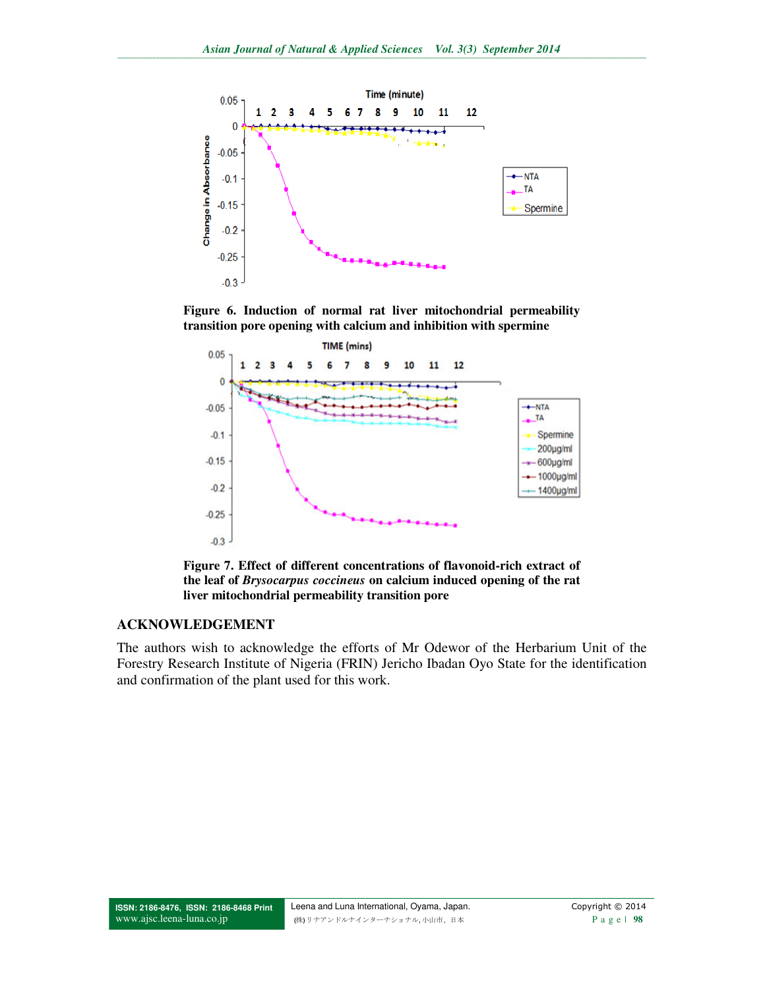

**Figure 6. Induction of normal rat liver mitochondrial permeability transition pore opening with calcium and inhibition with spermine** 



**Figure 7. Effect of different concentrations of flavonoid-rich extract of the leaf of** *Brysocarpus coccineus* **on calcium induced opening of the rat liver mitochondrial permeability transition pore** 

### **ACKNOWLEDGEMENT**

The authors wish to acknowledge the efforts of Mr Odewor of the Herbarium Unit of the Forestry Research Institute of Nigeria (FRIN) Jericho Ibadan Oyo State for the identification and confirmation of the plant used for this work.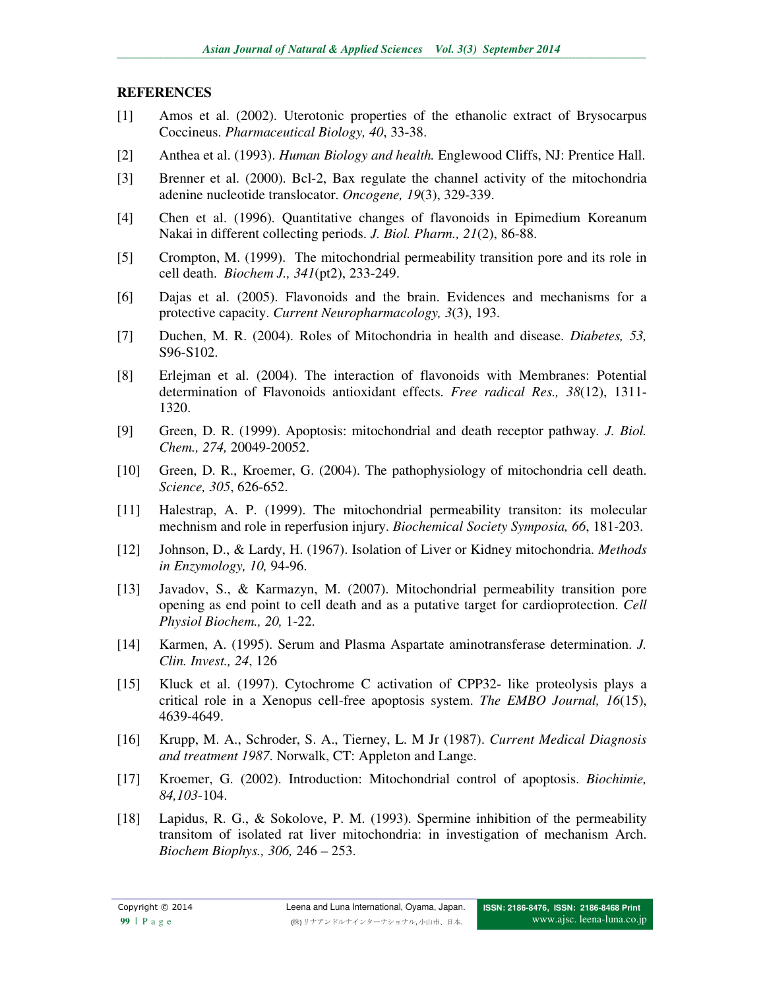#### **REFERENCES**

- [1] Amos et al. (2002). Uterotonic properties of the ethanolic extract of Brysocarpus Coccineus. *Pharmaceutical Biology, 40*, 33-38.
- [2] Anthea et al. (1993). *Human Biology and health.* Englewood Cliffs, NJ: Prentice Hall.
- [3] Brenner et al. (2000). Bcl-2, Bax regulate the channel activity of the mitochondria adenine nucleotide translocator. *Oncogene, 19*(3), 329-339.
- [4] Chen et al. (1996). Quantitative changes of flavonoids in Epimedium Koreanum Nakai in different collecting periods. *J. Biol. Pharm., 21*(2), 86-88.
- [5] Crompton, M. (1999). The mitochondrial permeability transition pore and its role in cell death. *Biochem J., 341*(pt2), 233-249.
- [6] Dajas et al. (2005). Flavonoids and the brain. Evidences and mechanisms for a protective capacity. *Current Neuropharmacology, 3*(3), 193.
- [7] Duchen, M. R. (2004). Roles of Mitochondria in health and disease. *Diabetes, 53,* S96-S102.
- [8] Erlejman et al. (2004). The interaction of flavonoids with Membranes: Potential determination of Flavonoids antioxidant effects. *Free radical Res., 38*(12), 1311- 1320.
- [9] Green, D. R. (1999). Apoptosis: mitochondrial and death receptor pathway*. J. Biol. Chem., 274,* 20049-20052.
- [10] Green, D. R., Kroemer, G. (2004). The pathophysiology of mitochondria cell death. *Science, 305*, 626-652.
- [11] Halestrap, A. P. (1999). The mitochondrial permeability transiton: its molecular mechnism and role in reperfusion injury. *Biochemical Society Symposia, 66*, 181-203.
- [12] Johnson, D., & Lardy, H. (1967). Isolation of Liver or Kidney mitochondria. *Methods in Enzymology, 10,* 94-96.
- [13] Javadov, S., & Karmazyn, M. (2007). Mitochondrial permeability transition pore opening as end point to cell death and as a putative target for cardioprotection. *Cell Physiol Biochem., 20,* 1-22.
- [14] Karmen, A. (1995). Serum and Plasma Aspartate aminotransferase determination. *J. Clin. Invest., 24*, 126
- [15] Kluck et al. (1997). Cytochrome C activation of CPP32- like proteolysis plays a critical role in a Xenopus cell-free apoptosis system. *The EMBO Journal, 16*(15), 4639-4649.
- [16] Krupp, M. A., Schroder, S. A., Tierney, L. M Jr (1987). *Current Medical Diagnosis and treatment 1987*. Norwalk, CT: Appleton and Lange.
- [17] Kroemer, G. (2002). Introduction: Mitochondrial control of apoptosis. *Biochimie, 84,103*-104.
- [18] Lapidus, R. G., & Sokolove, P. M. (1993). Spermine inhibition of the permeability transitom of isolated rat liver mitochondria: in investigation of mechanism Arch. *Biochem Biophys., 306,* 246 – 253.